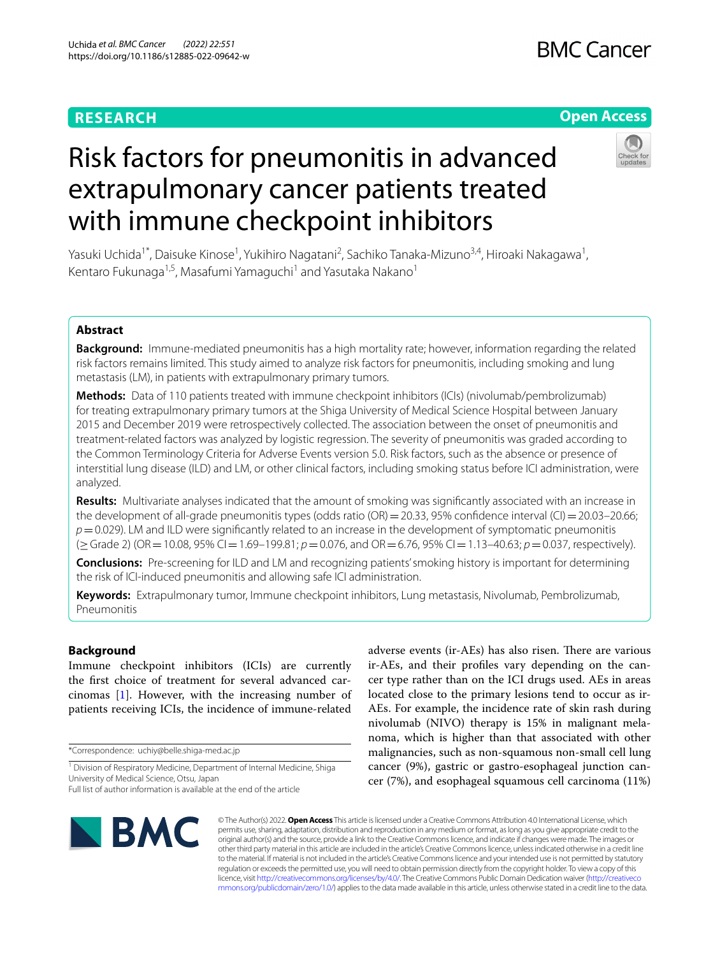# **RESEARCH**

# **Open Access**



# Risk factors for pneumonitis in advanced extrapulmonary cancer patients treated with immune checkpoint inhibitors

Yasuki Uchida<sup>1\*</sup>, Daisuke Kinose<sup>1</sup>, Yukihiro Nagatani<sup>2</sup>, Sachiko Tanaka-Mizuno<sup>3,4</sup>, Hiroaki Nakagawa<sup>1</sup>, Kentaro Fukunaga<sup>1,5</sup>, Masafumi Yamaguchi<sup>1</sup> and Yasutaka Nakano<sup>1</sup>

## **Abstract**

**Background:** Immune-mediated pneumonitis has a high mortality rate; however, information regarding the related risk factors remains limited. This study aimed to analyze risk factors for pneumonitis, including smoking and lung metastasis (LM), in patients with extrapulmonary primary tumors.

**Methods:** Data of 110 patients treated with immune checkpoint inhibitors (ICIs) (nivolumab/pembrolizumab) for treating extrapulmonary primary tumors at the Shiga University of Medical Science Hospital between January 2015 and December 2019 were retrospectively collected. The association between the onset of pneumonitis and treatment-related factors was analyzed by logistic regression. The severity of pneumonitis was graded according to the Common Terminology Criteria for Adverse Events version 5.0. Risk factors, such as the absence or presence of interstitial lung disease (ILD) and LM, or other clinical factors, including smoking status before ICI administration, were analyzed.

**Results:** Multivariate analyses indicated that the amount of smoking was signifcantly associated with an increase in the development of all-grade pneumonitis types (odds ratio (OR) = 20.33, 95% confidence interval (CI) = 20.03–20.66; *p*=0.029). LM and ILD were signifcantly related to an increase in the development of symptomatic pneumonitis (≥Grade 2) (OR=10.08, 95% CI=1.69–199.81; *p*=0.076, and OR=6.76, 95% CI=1.13–40.63; *p*=0.037, respectively).

**Conclusions:** Pre-screening for ILD and LM and recognizing patients' smoking history is important for determining the risk of ICI-induced pneumonitis and allowing safe ICI administration.

**Keywords:** Extrapulmonary tumor, Immune checkpoint inhibitors, Lung metastasis, Nivolumab, Pembrolizumab, Pneumonitis

## **Background**

Immune checkpoint inhibitors (ICIs) are currently the frst choice of treatment for several advanced carcinomas [[1\]](#page-8-0). However, with the increasing number of patients receiving ICIs, the incidence of immune-related

\*Correspondence: uchiy@belle.shiga-med.ac.jp

adverse events (ir-AEs) has also risen. There are various ir-AEs, and their profles vary depending on the cancer type rather than on the ICI drugs used. AEs in areas located close to the primary lesions tend to occur as ir-AEs. For example, the incidence rate of skin rash during nivolumab (NIVO) therapy is 15% in malignant melanoma, which is higher than that associated with other malignancies, such as non-squamous non-small cell lung cancer (9%), gastric or gastro-esophageal junction cancer (7%), and esophageal squamous cell carcinoma (11%)



© The Author(s) 2022. **Open Access** This article is licensed under a Creative Commons Attribution 4.0 International License, which permits use, sharing, adaptation, distribution and reproduction in any medium or format, as long as you give appropriate credit to the original author(s) and the source, provide a link to the Creative Commons licence, and indicate if changes were made. The images or other third party material in this article are included in the article's Creative Commons licence, unless indicated otherwise in a credit line to the material. If material is not included in the article's Creative Commons licence and your intended use is not permitted by statutory regulation or exceeds the permitted use, you will need to obtain permission directly from the copyright holder. To view a copy of this licence, visit [http://creativecommons.org/licenses/by/4.0/.](http://creativecommons.org/licenses/by/4.0/) The Creative Commons Public Domain Dedication waiver ([http://creativeco](http://creativecommons.org/publicdomain/zero/1.0/) [mmons.org/publicdomain/zero/1.0/](http://creativecommons.org/publicdomain/zero/1.0/)) applies to the data made available in this article, unless otherwise stated in a credit line to the data.

<sup>&</sup>lt;sup>1</sup> Division of Respiratory Medicine, Department of Internal Medicine, Shiga University of Medical Science, Otsu, Japan Full list of author information is available at the end of the article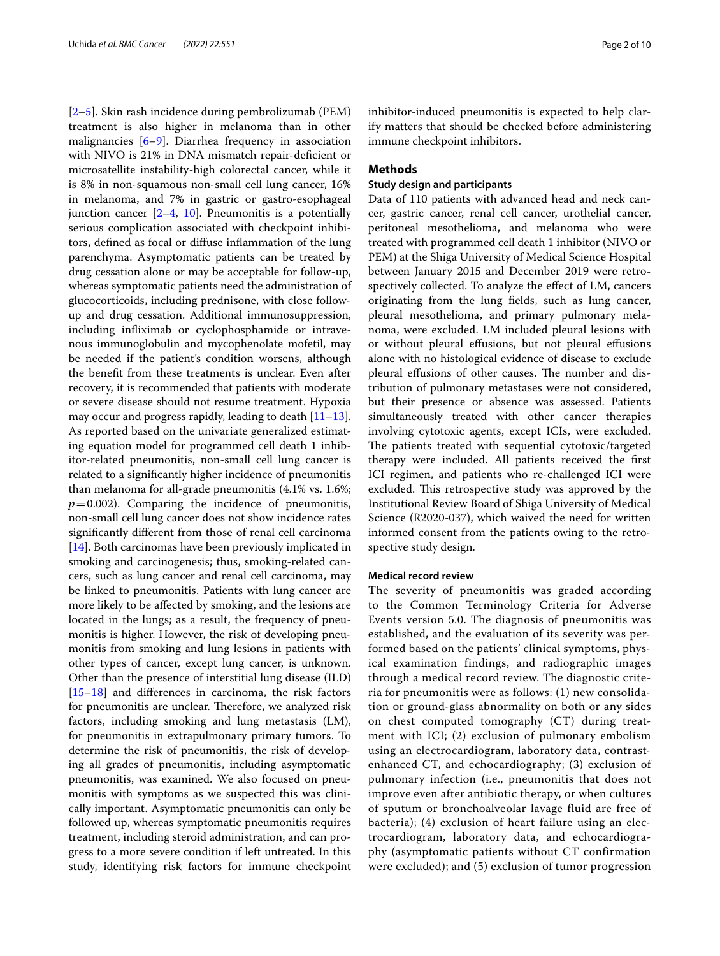[[2–](#page-8-1)[5\]](#page-8-2). Skin rash incidence during pembrolizumab (PEM) treatment is also higher in melanoma than in other malignancies [\[6](#page-8-3)[–9](#page-8-4)]. Diarrhea frequency in association with NIVO is 21% in DNA mismatch repair-defcient or microsatellite instability-high colorectal cancer, while it is 8% in non-squamous non-small cell lung cancer, 16% in melanoma, and 7% in gastric or gastro-esophageal junction cancer  $[2-4, 10]$  $[2-4, 10]$  $[2-4, 10]$  $[2-4, 10]$ . Pneumonitis is a potentially serious complication associated with checkpoint inhibitors, defned as focal or difuse infammation of the lung parenchyma. Asymptomatic patients can be treated by drug cessation alone or may be acceptable for follow-up, whereas symptomatic patients need the administration of glucocorticoids, including prednisone, with close followup and drug cessation. Additional immunosuppression, including infiximab or cyclophosphamide or intravenous immunoglobulin and mycophenolate mofetil, may be needed if the patient's condition worsens, although the beneft from these treatments is unclear. Even after recovery, it is recommended that patients with moderate or severe disease should not resume treatment. Hypoxia may occur and progress rapidly, leading to death  $[11-13]$  $[11-13]$  $[11-13]$ . As reported based on the univariate generalized estimating equation model for programmed cell death 1 inhibitor-related pneumonitis, non-small cell lung cancer is related to a signifcantly higher incidence of pneumonitis than melanoma for all-grade pneumonitis (4.1% vs. 1.6%;  $p=0.002$ ). Comparing the incidence of pneumonitis, non-small cell lung cancer does not show incidence rates signifcantly diferent from those of renal cell carcinoma [[14\]](#page-8-9). Both carcinomas have been previously implicated in smoking and carcinogenesis; thus, smoking-related cancers, such as lung cancer and renal cell carcinoma, may be linked to pneumonitis. Patients with lung cancer are more likely to be afected by smoking, and the lesions are located in the lungs; as a result, the frequency of pneumonitis is higher. However, the risk of developing pneumonitis from smoking and lung lesions in patients with other types of cancer, except lung cancer, is unknown. Other than the presence of interstitial lung disease (ILD) [[15–](#page-8-10)[18](#page-8-11)] and diferences in carcinoma, the risk factors for pneumonitis are unclear. Therefore, we analyzed risk factors, including smoking and lung metastasis (LM), for pneumonitis in extrapulmonary primary tumors. To determine the risk of pneumonitis, the risk of developing all grades of pneumonitis, including asymptomatic pneumonitis, was examined. We also focused on pneumonitis with symptoms as we suspected this was clinically important. Asymptomatic pneumonitis can only be followed up, whereas symptomatic pneumonitis requires treatment, including steroid administration, and can progress to a more severe condition if left untreated. In this study, identifying risk factors for immune checkpoint

inhibitor-induced pneumonitis is expected to help clarify matters that should be checked before administering immune checkpoint inhibitors.

## **Methods**

## **Study design and participants**

Data of 110 patients with advanced head and neck cancer, gastric cancer, renal cell cancer, urothelial cancer, peritoneal mesothelioma, and melanoma who were treated with programmed cell death 1 inhibitor (NIVO or PEM) at the Shiga University of Medical Science Hospital between January 2015 and December 2019 were retrospectively collected. To analyze the efect of LM, cancers originating from the lung felds, such as lung cancer, pleural mesothelioma, and primary pulmonary melanoma, were excluded. LM included pleural lesions with or without pleural efusions, but not pleural efusions alone with no histological evidence of disease to exclude pleural effusions of other causes. The number and distribution of pulmonary metastases were not considered, but their presence or absence was assessed. Patients simultaneously treated with other cancer therapies involving cytotoxic agents, except ICIs, were excluded. The patients treated with sequential cytotoxic/targeted therapy were included. All patients received the frst ICI regimen, and patients who re-challenged ICI were excluded. This retrospective study was approved by the Institutional Review Board of Shiga University of Medical Science (R2020-037), which waived the need for written informed consent from the patients owing to the retrospective study design.

## **Medical record review**

The severity of pneumonitis was graded according to the Common Terminology Criteria for Adverse Events version 5.0. The diagnosis of pneumonitis was established, and the evaluation of its severity was performed based on the patients' clinical symptoms, physical examination findings, and radiographic images through a medical record review. The diagnostic criteria for pneumonitis were as follows: (1) new consolidation or ground-glass abnormality on both or any sides on chest computed tomography (CT) during treatment with ICI; (2) exclusion of pulmonary embolism using an electrocardiogram, laboratory data, contrastenhanced CT, and echocardiography; (3) exclusion of pulmonary infection (i.e., pneumonitis that does not improve even after antibiotic therapy, or when cultures of sputum or bronchoalveolar lavage fluid are free of bacteria); (4) exclusion of heart failure using an electrocardiogram, laboratory data, and echocardiography (asymptomatic patients without CT confirmation were excluded); and (5) exclusion of tumor progression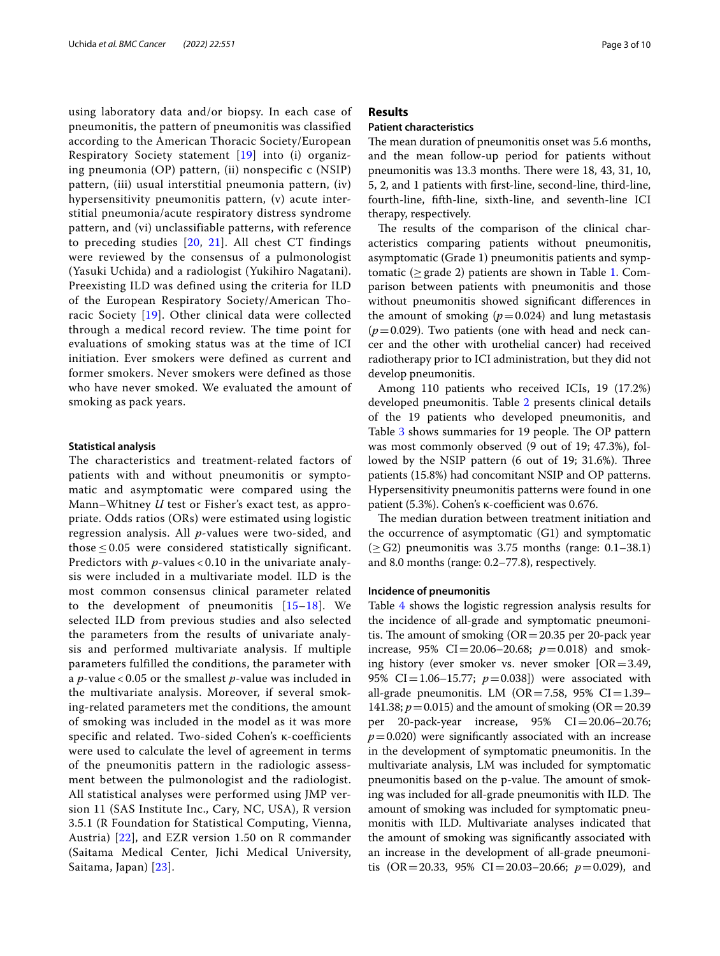using laboratory data and/or biopsy. In each case of pneumonitis, the pattern of pneumonitis was classified according to the American Thoracic Society/European Respiratory Society statement [[19](#page-8-12)] into (i) organizing pneumonia (OP) pattern, (ii) nonspecific c (NSIP) pattern, (iii) usual interstitial pneumonia pattern, (iv) hypersensitivity pneumonitis pattern, (v) acute interstitial pneumonia/acute respiratory distress syndrome pattern, and (vi) unclassifiable patterns, with reference to preceding studies [[20](#page-8-13), [21\]](#page-8-14). All chest CT findings were reviewed by the consensus of a pulmonologist (Yasuki Uchida) and a radiologist (Yukihiro Nagatani). Preexisting ILD was defined using the criteria for ILD of the European Respiratory Society/American Thoracic Society [\[19\]](#page-8-12). Other clinical data were collected through a medical record review. The time point for evaluations of smoking status was at the time of ICI initiation. Ever smokers were defined as current and former smokers. Never smokers were defined as those who have never smoked. We evaluated the amount of smoking as pack years.

## **Statistical analysis**

The characteristics and treatment-related factors of patients with and without pneumonitis or symptomatic and asymptomatic were compared using the Mann–Whitney *U* test or Fisher's exact test, as appropriate. Odds ratios (ORs) were estimated using logistic regression analysis. All *p*-values were two-sided, and those  $\leq$  0.05 were considered statistically significant. Predictors with *p*-values < 0.10 in the univariate analysis were included in a multivariate model. ILD is the most common consensus clinical parameter related to the development of pneumonitis  $[15-18]$  $[15-18]$  $[15-18]$ . We selected ILD from previous studies and also selected the parameters from the results of univariate analysis and performed multivariate analysis. If multiple parameters fulfilled the conditions, the parameter with a *p*-value < 0.05 or the smallest *p*-value was included in the multivariate analysis. Moreover, if several smoking-related parameters met the conditions, the amount of smoking was included in the model as it was more specific and related. Two-sided Cohen's κ-coefficients were used to calculate the level of agreement in terms of the pneumonitis pattern in the radiologic assessment between the pulmonologist and the radiologist. All statistical analyses were performed using JMP version 11 (SAS Institute Inc., Cary, NC, USA), R version 3.5.1 (R Foundation for Statistical Computing, Vienna, Austria) [\[22\]](#page-8-15), and EZR version 1.50 on R commander (Saitama Medical Center, Jichi Medical University, Saitama, Japan) [[23\]](#page-8-16).

## **Results**

## **Patient characteristics**

The mean duration of pneumonitis onset was 5.6 months, and the mean follow-up period for patients without pneumonitis was 13.3 months. There were 18, 43, 31, 10, 5, 2, and 1 patients with frst-line, second-line, third-line, fourth-line, ffth-line, sixth-line, and seventh-line ICI therapy, respectively.

The results of the comparison of the clinical characteristics comparing patients without pneumonitis, asymptomatic (Grade 1) pneumonitis patients and symptomatic ( $\geq$  grade 2) patients are shown in Table [1.](#page-3-0) Comparison between patients with pneumonitis and those without pneumonitis showed signifcant diferences in the amount of smoking  $(p=0.024)$  and lung metastasis  $(p=0.029)$ . Two patients (one with head and neck cancer and the other with urothelial cancer) had received radiotherapy prior to ICI administration, but they did not develop pneumonitis.

Among 110 patients who received ICIs, 19 (17.2%) developed pneumonitis. Table [2](#page-5-0) presents clinical details of the 19 patients who developed pneumonitis, and Table [3](#page-5-1) shows summaries for 19 people. The OP pattern was most commonly observed (9 out of 19; 47.3%), followed by the NSIP pattern  $(6 \text{ out of } 19; 31.6\%).$  Three patients (15.8%) had concomitant NSIP and OP patterns. Hypersensitivity pneumonitis patterns were found in one patient (5.3%). Cohen's κ-coefficient was 0.676.

The median duration between treatment initiation and the occurrence of asymptomatic (G1) and symptomatic  $(\geq G2)$  pneumonitis was 3.75 months (range: 0.1–38.1) and 8.0 months (range: 0.2–77.8), respectively.

## **Incidence of pneumonitis**

Table [4](#page-6-0) shows the logistic regression analysis results for the incidence of all-grade and symptomatic pneumonitis. The amount of smoking  $(OR=20.35$  per 20-pack year increase, 95% CI=20.06–20.68;  $p=0.018$ ) and smoking history (ever smoker vs. never smoker  $[OR = 3.49,$ 95% CI=1.06–15.77; *p*=0.038]) were associated with all-grade pneumonitis. LM (OR=7.58, 95% CI=1.39– 141.38;  $p = 0.015$ ) and the amount of smoking (OR = 20.39 per 20-pack-year increase, 95% CI=20.06–20.76;  $p=0.020$ ) were significantly associated with an increase in the development of symptomatic pneumonitis. In the multivariate analysis, LM was included for symptomatic pneumonitis based on the p-value. The amount of smoking was included for all-grade pneumonitis with ILD. The amount of smoking was included for symptomatic pneumonitis with ILD. Multivariate analyses indicated that the amount of smoking was signifcantly associated with an increase in the development of all-grade pneumonitis (OR=20.33, 95% CI=20.03–20.66; *p*=0.029), and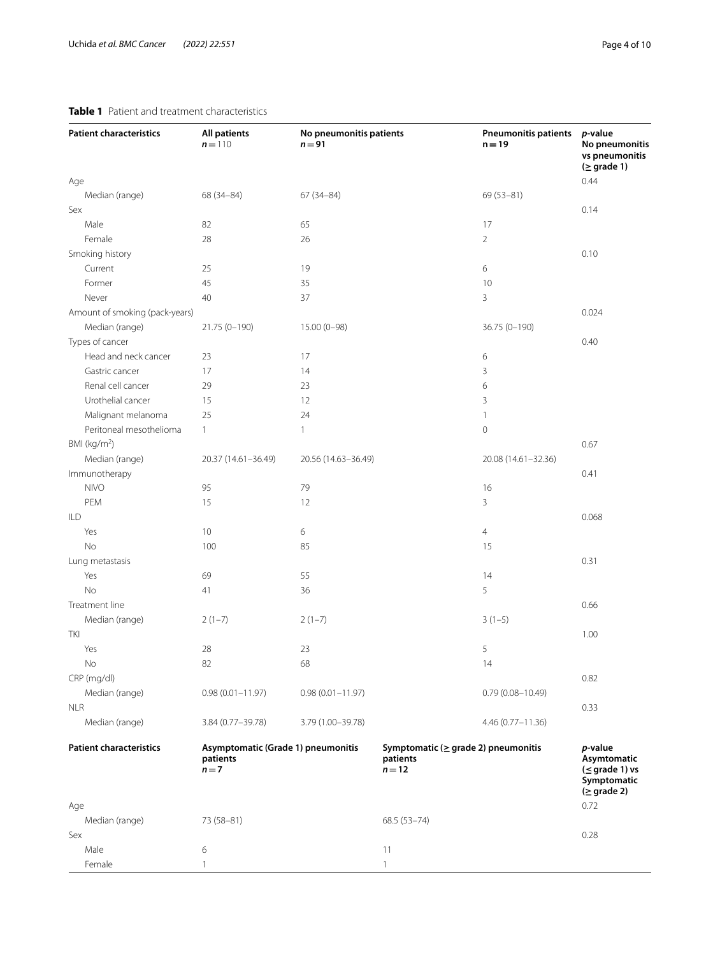## <span id="page-3-0"></span>**Table 1** Patient and treatment characteristics

| <b>Patient characteristics</b> | <b>All patients</b><br>$n = 110$                        | No pneumonitis patients<br>$n = 91$ |                                                                 | <b>Pneumonitis patients</b><br>$n = 19$ | p-value<br>No pneumonitis<br>vs pneumonitis<br>$( \geq$ grade 1)<br>0.44                   |
|--------------------------------|---------------------------------------------------------|-------------------------------------|-----------------------------------------------------------------|-----------------------------------------|--------------------------------------------------------------------------------------------|
| Age<br>Median (range)          | 68 (34-84)                                              | $67(34 - 84)$                       |                                                                 | 69 (53-81)                              |                                                                                            |
| Sex                            |                                                         |                                     |                                                                 |                                         | 0.14                                                                                       |
| Male                           | 82                                                      | 65                                  |                                                                 | 17                                      |                                                                                            |
| Female                         | 28                                                      | 26                                  |                                                                 | $\overline{2}$                          |                                                                                            |
| Smoking history                |                                                         |                                     |                                                                 |                                         | 0.10                                                                                       |
| Current                        | 25                                                      | 19                                  |                                                                 | 6                                       |                                                                                            |
| Former                         | 45                                                      | 35                                  |                                                                 | 10                                      |                                                                                            |
| Never                          | 40                                                      | 37                                  |                                                                 | 3                                       |                                                                                            |
| Amount of smoking (pack-years) |                                                         |                                     |                                                                 |                                         | 0.024                                                                                      |
| Median (range)                 | 21.75 (0-190)                                           | 15.00 (0-98)                        |                                                                 | 36.75 (0-190)                           |                                                                                            |
| Types of cancer                |                                                         |                                     |                                                                 |                                         | 0.40                                                                                       |
| Head and neck cancer           | 23                                                      | 17                                  |                                                                 | 6                                       |                                                                                            |
| Gastric cancer                 | 17                                                      | 14                                  |                                                                 | 3                                       |                                                                                            |
| Renal cell cancer              | 29                                                      | 23                                  |                                                                 | 6                                       |                                                                                            |
| Urothelial cancer              | 15                                                      | 12                                  |                                                                 | 3                                       |                                                                                            |
| Malignant melanoma             | 25                                                      | 24                                  |                                                                 | $\mathbf{1}$                            |                                                                                            |
| Peritoneal mesothelioma        | $\mathbf{1}$                                            | $\mathbf{1}$                        |                                                                 | $\mathsf{O}\xspace$                     |                                                                                            |
| BMI (kg/m <sup>2</sup> )       |                                                         |                                     |                                                                 |                                         | 0.67                                                                                       |
| Median (range)                 | 20.37 (14.61-36.49)                                     | 20.56 (14.63-36.49)                 |                                                                 | 20.08 (14.61-32.36)                     |                                                                                            |
| Immunotherapy                  |                                                         |                                     |                                                                 |                                         | 0.41                                                                                       |
| <b>NIVO</b>                    | 95                                                      | 79                                  |                                                                 | 16                                      |                                                                                            |
| PEM                            | 15                                                      | 12                                  |                                                                 | 3                                       |                                                                                            |
| ILD                            |                                                         |                                     |                                                                 |                                         | 0.068                                                                                      |
| Yes                            | 10                                                      | 6                                   |                                                                 | $\overline{4}$                          |                                                                                            |
| No                             | 100                                                     | 85                                  |                                                                 | 15                                      |                                                                                            |
| Lung metastasis                |                                                         |                                     |                                                                 |                                         | 0.31                                                                                       |
| Yes                            | 69                                                      | 55                                  |                                                                 | 14                                      |                                                                                            |
| No                             | 41                                                      | 36                                  |                                                                 | 5                                       |                                                                                            |
| Treatment line                 |                                                         |                                     |                                                                 |                                         | 0.66                                                                                       |
| Median (range)                 | $2(1-7)$                                                | $2(1-7)$                            |                                                                 | $3(1-5)$                                |                                                                                            |
| TKI                            |                                                         |                                     |                                                                 |                                         | 1.00                                                                                       |
| Yes                            | 28                                                      | 23                                  |                                                                 | 5                                       |                                                                                            |
| No                             | 82                                                      | 68                                  |                                                                 | 14                                      |                                                                                            |
| CRP (mg/dl)                    |                                                         |                                     |                                                                 |                                         | 0.82                                                                                       |
| Median (range)                 | $0.98(0.01 - 11.97)$                                    | $0.98(0.01 - 11.97)$                |                                                                 | $0.79(0.08 - 10.49)$                    |                                                                                            |
| <b>NLR</b>                     |                                                         |                                     |                                                                 |                                         | 0.33                                                                                       |
| Median (range)                 | 3.84 (0.77-39.78)                                       | 3.79 (1.00-39.78)                   |                                                                 | 4.46 (0.77-11.36)                       |                                                                                            |
| <b>Patient characteristics</b> | Asymptomatic (Grade 1) pneumonitis<br>patients<br>$n=7$ |                                     | Symptomatic ( $\geq$ grade 2) pneumonitis<br>patients<br>$n=12$ |                                         | p-value<br>Asymtomatic<br>$(\leq$ grade 1) vs<br>Symptomatic<br>$( \geq \text{grade } 2 )$ |
| Age                            |                                                         |                                     |                                                                 |                                         | 0.72                                                                                       |
| Median (range)                 | 73 (58-81)                                              |                                     | 68.5 (53-74)                                                    |                                         |                                                                                            |
| Sex                            |                                                         |                                     |                                                                 |                                         | 0.28                                                                                       |
| Male                           | 6                                                       |                                     | 11                                                              |                                         |                                                                                            |
| Female                         | $\mathbf{1}$                                            |                                     | $\mathbf{1}$                                                    |                                         |                                                                                            |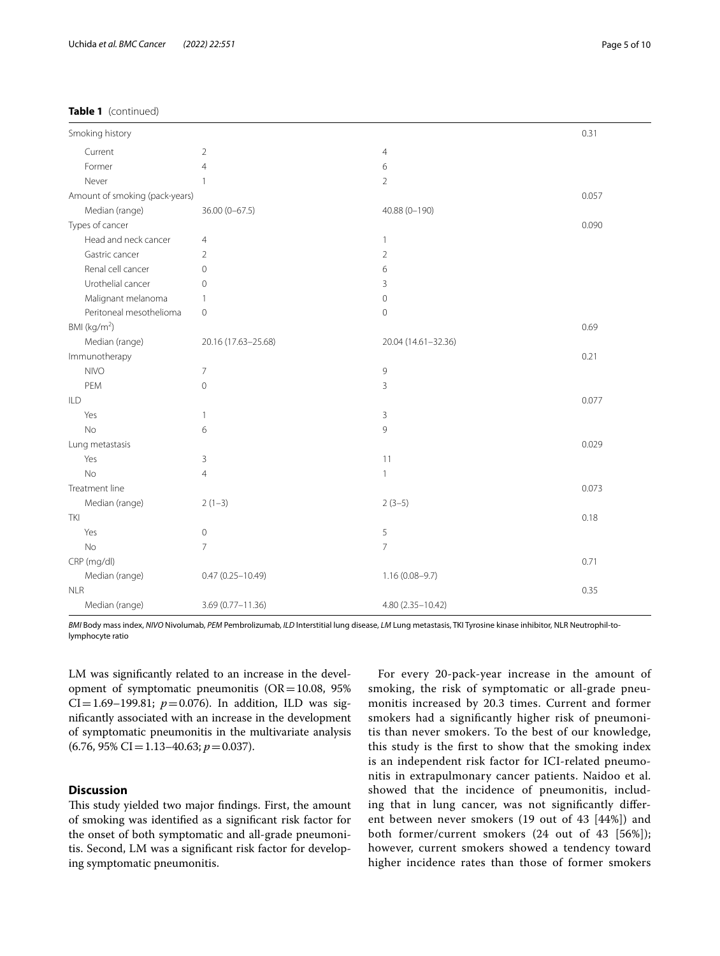| Smoking history                |                          |                     | 0.31  |
|--------------------------------|--------------------------|---------------------|-------|
| Current                        | $\overline{2}$           | $\overline{4}$      |       |
| Former                         | $\overline{4}$           | 6                   |       |
| Never                          | $\mathbf{1}$             | $\overline{2}$      |       |
| Amount of smoking (pack-years) |                          |                     | 0.057 |
| Median (range)                 | $36.00(0-67.5)$          | 40.88 (0-190)       |       |
| Types of cancer                |                          |                     | 0.090 |
| Head and neck cancer           | $\overline{4}$           | $\mathbf{1}$        |       |
| Gastric cancer                 | $\overline{2}$           | $\overline{2}$      |       |
| Renal cell cancer              | $\mathbf 0$              | 6                   |       |
| Urothelial cancer              | 0                        | 3                   |       |
| Malignant melanoma             | $\mathbf{1}$             | $\mathbf 0$         |       |
| Peritoneal mesothelioma        | 0                        | $\mathbf 0$         |       |
| BMI ( $kg/m2$ )                |                          |                     | 0.69  |
| Median (range)                 | 20.16 (17.63-25.68)      | 20.04 (14.61-32.36) |       |
| Immunotherapy                  |                          |                     | 0.21  |
| <b>NIVO</b>                    | $\overline{\phantom{a}}$ | $\mathsf 9$         |       |
| PEM                            | $\mathbf 0$              | 3                   |       |
| ILD                            |                          |                     | 0.077 |
| Yes                            | $\mathbf{1}$             | 3                   |       |
| <b>No</b>                      | 6                        | 9                   |       |
| Lung metastasis                |                          |                     | 0.029 |
| Yes                            | 3                        | 11                  |       |
| <b>No</b>                      | $\overline{4}$           | $\mathbf{1}$        |       |
| Treatment line                 |                          |                     | 0.073 |
| Median (range)                 | $2(1-3)$                 | $2(3-5)$            |       |
| TKI                            |                          |                     | 0.18  |
| Yes                            | $\mathbf 0$              | 5                   |       |
| <b>No</b>                      | $\overline{7}$           | $\overline{7}$      |       |
| CRP (mg/dl)                    |                          |                     | 0.71  |
| Median (range)                 | $0.47(0.25 - 10.49)$     | $1.16(0.08 - 9.7)$  |       |
| <b>NLR</b>                     |                          |                     | 0.35  |
| Median (range)                 | 3.69 (0.77-11.36)        | 4.80 (2.35-10.42)   |       |

*BMI* Body mass index, *NIVO* Nivolumab, *PEM* Pembrolizumab, *ILD* Interstitial lung disease, *LM* Lung metastasis, TKI Tyrosine kinase inhibitor, NLR Neutrophil-tolymphocyte ratio

LM was signifcantly related to an increase in the development of symptomatic pneumonitis  $(OR=10.08, 95\%)$ CI=1.69–199.81;  $p=0.076$ ). In addition, ILD was signifcantly associated with an increase in the development of symptomatic pneumonitis in the multivariate analysis (6.76, 95% CI=1.13–40.63; *p*=0.037).

## **Discussion**

This study yielded two major findings. First, the amount of smoking was identifed as a signifcant risk factor for the onset of both symptomatic and all-grade pneumonitis. Second, LM was a signifcant risk factor for developing symptomatic pneumonitis.

For every 20-pack-year increase in the amount of smoking, the risk of symptomatic or all-grade pneumonitis increased by 20.3 times. Current and former smokers had a signifcantly higher risk of pneumonitis than never smokers. To the best of our knowledge, this study is the frst to show that the smoking index is an independent risk factor for ICI-related pneumonitis in extrapulmonary cancer patients. Naidoo et al. showed that the incidence of pneumonitis, including that in lung cancer, was not signifcantly diferent between never smokers (19 out of 43 [44%]) and both former/current smokers (24 out of 43 [56%]); however, current smokers showed a tendency toward higher incidence rates than those of former smokers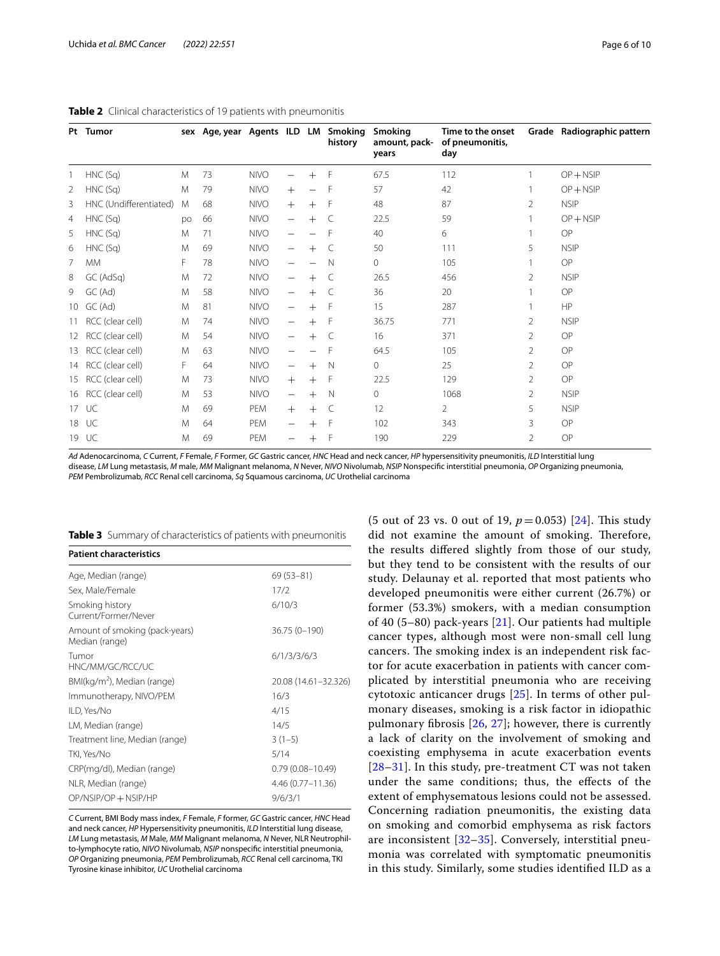|                 | Pt Tumor               |    | sex Age, year Agents ILD LM |             |                                |              | Smoking<br>history | Smoking<br>amount, pack-<br>years | Time to the onset<br>of pneumonitis,<br>day |                | Grade Radiographic pattern |
|-----------------|------------------------|----|-----------------------------|-------------|--------------------------------|--------------|--------------------|-----------------------------------|---------------------------------------------|----------------|----------------------------|
|                 | HNC (Sq)               | M  | 73                          | <b>NIVO</b> |                                | $+$          | F                  | 67.5                              | 112                                         |                | $OP + NSIP$                |
| 2               | HNC(Sq)                | M  | 79                          | <b>NIVO</b> | $+$                            |              | F                  | 57                                | 42                                          |                | $OP + NSIP$                |
| 3               | HNC (Undifferentiated) | M  | 68                          | <b>NIVO</b> | $^{+}$                         | $+$          | F                  | 48                                | 87                                          | $\overline{2}$ | <b>NSIP</b>                |
| 4               | HNC(Sq)                | po | 66                          | <b>NIVO</b> | $\overline{\phantom{m}}$       | $+$          | C                  | 22.5                              | 59                                          |                | $OP + NSIP$                |
| 5               | HNC (Sq)               | M  | 71                          | <b>NIVO</b> | $\overline{\phantom{0}}$       |              | F                  | 40                                | 6                                           |                | OP                         |
| 6               | HNC (Sq)               | M  | 69                          | <b>NIVO</b> | $\overline{\phantom{0}}$       | $+$          | C                  | 50                                | 111                                         | 5              | <b>NSIP</b>                |
| 7               | <b>MM</b>              | F. | 78                          | <b>NIVO</b> | $\overline{\phantom{m}}$       |              | N                  | $\mathbf{0}$                      | 105                                         |                | OP                         |
| 8               | GC (AdSq)              | M  | 72                          | <b>NIVO</b> | $\overline{\phantom{0}}$       | $^{+}$       | C                  | 26.5                              | 456                                         | $\overline{2}$ | <b>NSIP</b>                |
| 9               | GC(Ad)                 | M  | 58                          | <b>NIVO</b> | -                              | $^{+}$       | C                  | 36                                | 20                                          |                | OP                         |
| 10 <sup>°</sup> | GC(Ad)                 | M  | 81                          | <b>NIVO</b> | $\overline{\phantom{m}}$       | $^{+}$       | F                  | 15                                | 287                                         |                | <b>HP</b>                  |
| 11              | RCC (clear cell)       | M  | 74                          | <b>NIVO</b> | -                              | $^{+}$       | F                  | 36.75                             | 771                                         | $\overline{2}$ | <b>NSIP</b>                |
| 12              | RCC (clear cell)       | M  | 54                          | <b>NIVO</b> | $\overline{\phantom{0}}$       | $^{+}$       | C                  | 16                                | 371                                         | 2              | OP                         |
| 13              | RCC (clear cell)       | M  | 63                          | <b>NIVO</b> | $\overline{\phantom{0}}$       |              | F                  | 64.5                              | 105                                         | 2              | OP                         |
| 14              | RCC (clear cell)       | F  | 64                          | <b>NIVO</b> | —                              | $^{+}$       | $\mathsf{N}$       | $\mathbf 0$                       | 25                                          | $\overline{2}$ | OP                         |
| 15              | RCC (clear cell)       | M  | 73                          | <b>NIVO</b> | $^{+}$                         | $^{+}$       | F                  | 22.5                              | 129                                         | $\overline{2}$ | OP                         |
| 16              | RCC (clear cell)       | M  | 53                          | <b>NIVO</b> | $\qquad \qquad -$              | $^{+}$       | $\mathbb N$        | $\mathbf{0}$                      | 1068                                        | $\overline{2}$ | <b>NSIP</b>                |
| 17              | UC                     | M  | 69                          | PEM         | $+$                            | $^{+}$       | $\subset$          | 12                                | $\overline{2}$                              | 5              | <b>NSIP</b>                |
| 18              | UC                     | M  | 64                          | PEM         | $\qquad \qquad \longleftarrow$ | $\mathrm{+}$ | F                  | 102                               | 343                                         | 3              | OP                         |
| 19              | UC                     | M  | 69                          | PEM         | —                              | $^{+}$       | $\mathsf{F}$       | 190                               | 229                                         | $\mathfrak{D}$ | OP                         |

## <span id="page-5-0"></span>**Table 2** Clinical characteristics of 19 patients with pneumonitis

*Ad* Adenocarcinoma, *C* Current, *F* Female, *F* Former, *GC* Gastric cancer, *HNC* Head and neck cancer, *HP* hypersensitivity pneumonitis, *ILD* Interstitial lung disease, *LM* Lung metastasis, *M* male, *MM* Malignant melanoma, *N* Never, *NIVO* Nivolumab, *NSIP* Nonspecifc interstitial pneumonia, *OP* Organizing pneumonia, *PEM* Pembrolizumab, *RCC* Renal cell carcinoma, *Sq* Squamous carcinoma, *UC* Urothelial carcinoma

<span id="page-5-1"></span>

|  |  |  | Table 3 Summary of characteristics of patients with pneumonitis |  |
|--|--|--|-----------------------------------------------------------------|--|
|--|--|--|-----------------------------------------------------------------|--|

| $69(53 - 81)$        |
|----------------------|
| 17/2                 |
| 6/10/3               |
| $36.75(0-190)$       |
| 6/1/3/3/6/3          |
| 20.08 (14.61-32.326) |
| 16/3                 |
| 4/15                 |
| 14/5                 |
| $3(1-5)$             |
| 5/14                 |
| $0.79(0.08 - 10.49)$ |
| $4.46(0.77 - 11.36)$ |
| 9/6/3/1              |
|                      |

*C* Current, BMI Body mass index, *F* Female, *F* former, *GC* Gastric cancer, *HNC* Head and neck cancer, *HP* Hypersensitivity pneumonitis, *ILD* Interstitial lung disease, *LM* Lung metastasis, *M* Male, *MM* Malignant melanoma, *N* Never, NLR Neutrophilto-lymphocyte ratio, *NIVO* Nivolumab, *NSIP* nonspecifc interstitial pneumonia, *OP* Organizing pneumonia, *PEM* Pembrolizumab, *RCC* Renal cell carcinoma, TKI Tyrosine kinase inhibitor, *UC* Urothelial carcinoma

(5 out of 23 vs. 0 out of 19,  $p = 0.053$ ) [[24\]](#page-8-17). This study did not examine the amount of smoking. Therefore, the results difered slightly from those of our study, but they tend to be consistent with the results of our study. Delaunay et al. reported that most patients who developed pneumonitis were either current (26.7%) or former (53.3%) smokers, with a median consumption of 40 (5–80) pack-years [\[21](#page-8-14)]. Our patients had multiple cancer types, although most were non-small cell lung cancers. The smoking index is an independent risk factor for acute exacerbation in patients with cancer complicated by interstitial pneumonia who are receiving cytotoxic anticancer drugs [[25](#page-8-18)]. In terms of other pulmonary diseases, smoking is a risk factor in idiopathic pulmonary fbrosis [[26](#page-8-19), [27](#page-8-20)]; however, there is currently a lack of clarity on the involvement of smoking and coexisting emphysema in acute exacerbation events [[28](#page-8-21)[–31](#page-8-22)]. In this study, pre-treatment CT was not taken under the same conditions; thus, the efects of the extent of emphysematous lesions could not be assessed. Concerning radiation pneumonitis, the existing data on smoking and comorbid emphysema as risk factors are inconsistent  $[32-35]$  $[32-35]$ . Conversely, interstitial pneumonia was correlated with symptomatic pneumonitis in this study. Similarly, some studies identifed ILD as a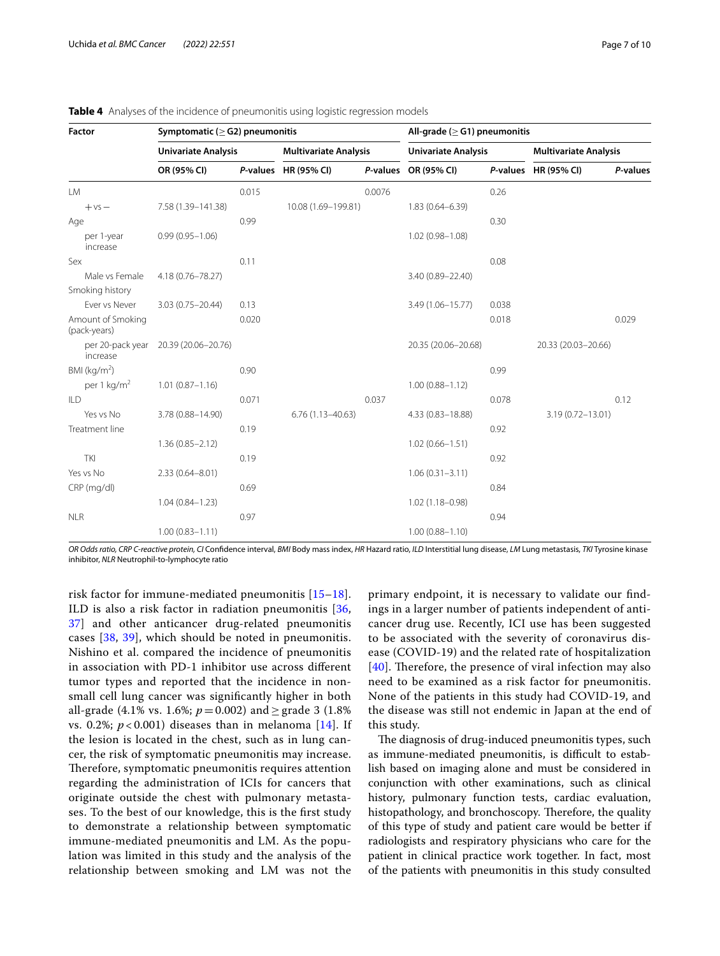| Factor                            | Symptomatic ( $\geq$ G2) pneumonitis |       | All-grade ( $\geq$ G1) pneumonitis |        |                            |       |                              |          |
|-----------------------------------|--------------------------------------|-------|------------------------------------|--------|----------------------------|-------|------------------------------|----------|
|                                   | <b>Univariate Analysis</b>           |       | <b>Multivariate Analysis</b>       |        | <b>Univariate Analysis</b> |       | <b>Multivariate Analysis</b> |          |
|                                   | OR (95% CI)                          |       | P-values HR (95% CI)               |        | P-values OR (95% CI)       |       | P-values HR (95% CI)         | P-values |
| <b>LM</b>                         |                                      | 0.015 |                                    | 0.0076 |                            | 0.26  |                              |          |
| $+vs-$                            | 7.58 (1.39-141.38)                   |       | 10.08 (1.69-199.81)                |        | $1.83(0.64 - 6.39)$        |       |                              |          |
| Age                               |                                      | 0.99  |                                    |        |                            | 0.30  |                              |          |
| per 1-year<br>increase            | $0.99(0.95 - 1.06)$                  |       |                                    |        | $1.02(0.98 - 1.08)$        |       |                              |          |
| Sex                               |                                      | 0.11  |                                    |        |                            | 0.08  |                              |          |
| Male vs Female                    | 4.18 (0.76-78.27)                    |       |                                    |        | 3.40 (0.89-22.40)          |       |                              |          |
| Smoking history                   |                                      |       |                                    |        |                            |       |                              |          |
| Ever vs Never                     | $3.03(0.75 - 20.44)$                 | 0.13  |                                    |        | 3.49 (1.06-15.77)          | 0.038 |                              |          |
| Amount of Smoking<br>(pack-years) |                                      | 0.020 |                                    |        |                            | 0.018 |                              | 0.029    |
| per 20-pack year<br>increase      | 20.39 (20.06-20.76)                  |       |                                    |        | 20.35 (20.06-20.68)        |       | 20.33 (20.03-20.66)          |          |
| BMI ( $kg/m2$ )                   |                                      | 0.90  |                                    |        |                            | 0.99  |                              |          |
| per 1 kg/m <sup>2</sup>           | $1.01(0.87 - 1.16)$                  |       |                                    |        | $1.00(0.88 - 1.12)$        |       |                              |          |
| ILD                               |                                      | 0.071 |                                    | 0.037  |                            | 0.078 |                              | 0.12     |
| Yes vs No                         | 3.78 (0.88-14.90)                    |       | $6.76(1.13 - 40.63)$               |        | 4.33 (0.83-18.88)          |       | 3.19 (0.72-13.01)            |          |
| Treatment line                    |                                      | 0.19  |                                    |        |                            | 0.92  |                              |          |
|                                   | $1.36(0.85 - 2.12)$                  |       |                                    |        | $1.02(0.66 - 1.51)$        |       |                              |          |
| <b>TKI</b>                        |                                      | 0.19  |                                    |        |                            | 0.92  |                              |          |
| Yes vs No                         | $2.33(0.64 - 8.01)$                  |       |                                    |        | $1.06(0.31 - 3.11)$        |       |                              |          |
| CRP (mg/dl)                       |                                      | 0.69  |                                    |        |                            | 0.84  |                              |          |
|                                   | $1.04(0.84 - 1.23)$                  |       |                                    |        | $1.02(1.18 - 0.98)$        |       |                              |          |
| <b>NLR</b>                        |                                      | 0.97  |                                    |        |                            | 0.94  |                              |          |
|                                   | $1.00(0.83 - 1.11)$                  |       |                                    |        | $1.00(0.88 - 1.10)$        |       |                              |          |

<span id="page-6-0"></span>**Table 4** Analyses of the incidence of pneumonitis using logistic regression models

*OR Odds ratio, CRP C-reactive protein, CI* Confdence interval, *BMI* Body mass index, *HR* Hazard ratio, *ILD* Interstitial lung disease, *LM* Lung metastasis, *TKI* Tyrosine kinase inhibitor, *NLR* Neutrophil-to-lymphocyte ratio

risk factor for immune-mediated pneumonitis [[15–](#page-8-10)[18\]](#page-8-11). ILD is also a risk factor in radiation pneumonitis [\[36](#page-9-1), [37\]](#page-9-2) and other anticancer drug-related pneumonitis cases [[38,](#page-9-3) [39\]](#page-9-4), which should be noted in pneumonitis. Nishino et al. compared the incidence of pneumonitis in association with PD-1 inhibitor use across diferent tumor types and reported that the incidence in nonsmall cell lung cancer was signifcantly higher in both all-grade (4.1% vs. 1.6%;  $p = 0.002$ ) and  $\geq$  grade 3 (1.8%) vs. 0.2%;  $p < 0.001$ ) diseases than in melanoma [[14\]](#page-8-9). If the lesion is located in the chest, such as in lung cancer, the risk of symptomatic pneumonitis may increase. Therefore, symptomatic pneumonitis requires attention regarding the administration of ICIs for cancers that originate outside the chest with pulmonary metastases. To the best of our knowledge, this is the frst study to demonstrate a relationship between symptomatic immune-mediated pneumonitis and LM. As the population was limited in this study and the analysis of the relationship between smoking and LM was not the

primary endpoint, it is necessary to validate our fndings in a larger number of patients independent of anticancer drug use. Recently, ICI use has been suggested to be associated with the severity of coronavirus disease (COVID-19) and the related rate of hospitalization  $[40]$  $[40]$  $[40]$ . Therefore, the presence of viral infection may also need to be examined as a risk factor for pneumonitis. None of the patients in this study had COVID-19, and the disease was still not endemic in Japan at the end of this study.

The diagnosis of drug-induced pneumonitis types, such as immune-mediated pneumonitis, is difficult to establish based on imaging alone and must be considered in conjunction with other examinations, such as clinical history, pulmonary function tests, cardiac evaluation, histopathology, and bronchoscopy. Therefore, the quality of this type of study and patient care would be better if radiologists and respiratory physicians who care for the patient in clinical practice work together. In fact, most of the patients with pneumonitis in this study consulted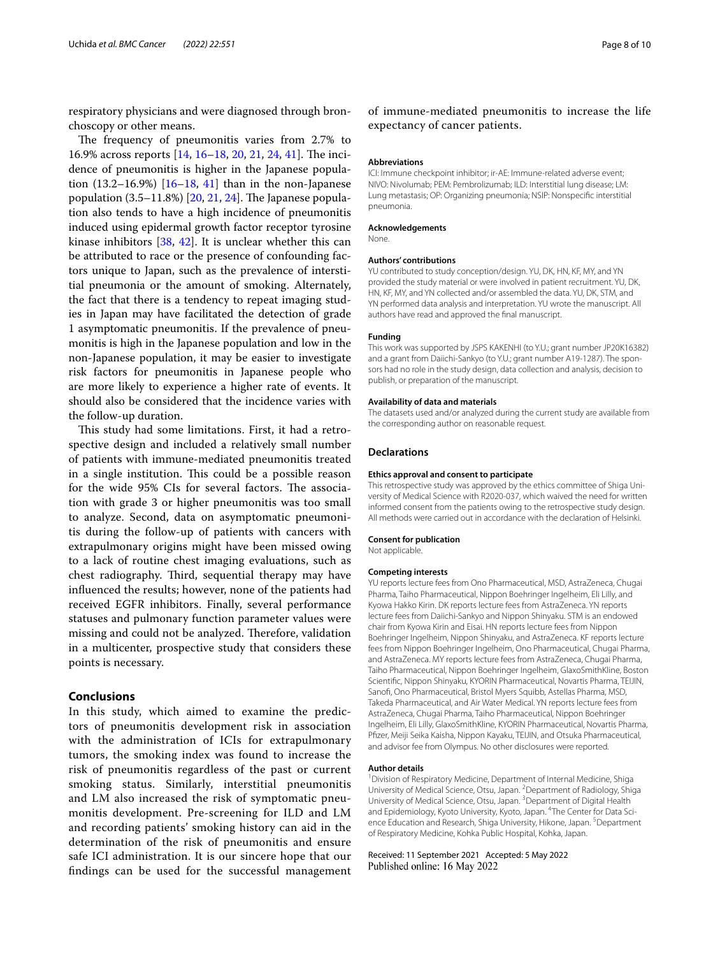respiratory physicians and were diagnosed through bronchoscopy or other means.

The frequency of pneumonitis varies from 2.7% to 16.9% across reports  $[14, 16–18, 20, 21, 24, 41]$  $[14, 16–18, 20, 21, 24, 41]$  $[14, 16–18, 20, 21, 24, 41]$  $[14, 16–18, 20, 21, 24, 41]$  $[14, 16–18, 20, 21, 24, 41]$  $[14, 16–18, 20, 21, 24, 41]$  $[14, 16–18, 20, 21, 24, 41]$  $[14, 16–18, 20, 21, 24, 41]$  $[14, 16–18, 20, 21, 24, 41]$  $[14, 16–18, 20, 21, 24, 41]$  $[14, 16–18, 20, 21, 24, 41]$  $[14, 16–18, 20, 21, 24, 41]$ . The incidence of pneumonitis is higher in the Japanese population  $(13.2–16.9%)$  $(13.2–16.9%)$  $(13.2–16.9%)$   $[16–18, 41]$  $[16–18, 41]$  $[16–18, 41]$  $[16–18, 41]$  $[16–18, 41]$  than in the non-Japanese population  $(3.5-11.8%)$  [\[20](#page-8-13), [21](#page-8-14), [24\]](#page-8-17). The Japanese population also tends to have a high incidence of pneumonitis induced using epidermal growth factor receptor tyrosine kinase inhibitors [[38](#page-9-3), [42\]](#page-9-7). It is unclear whether this can be attributed to race or the presence of confounding factors unique to Japan, such as the prevalence of interstitial pneumonia or the amount of smoking. Alternately, the fact that there is a tendency to repeat imaging studies in Japan may have facilitated the detection of grade 1 asymptomatic pneumonitis. If the prevalence of pneumonitis is high in the Japanese population and low in the non-Japanese population, it may be easier to investigate risk factors for pneumonitis in Japanese people who are more likely to experience a higher rate of events. It should also be considered that the incidence varies with the follow-up duration.

This study had some limitations. First, it had a retrospective design and included a relatively small number of patients with immune-mediated pneumonitis treated in a single institution. This could be a possible reason for the wide 95% CIs for several factors. The association with grade 3 or higher pneumonitis was too small to analyze. Second, data on asymptomatic pneumonitis during the follow-up of patients with cancers with extrapulmonary origins might have been missed owing to a lack of routine chest imaging evaluations, such as chest radiography. Third, sequential therapy may have infuenced the results; however, none of the patients had received EGFR inhibitors. Finally, several performance statuses and pulmonary function parameter values were missing and could not be analyzed. Therefore, validation in a multicenter, prospective study that considers these points is necessary.

## **Conclusions**

In this study, which aimed to examine the predictors of pneumonitis development risk in association with the administration of ICIs for extrapulmonary tumors, the smoking index was found to increase the risk of pneumonitis regardless of the past or current smoking status. Similarly, interstitial pneumonitis and LM also increased the risk of symptomatic pneumonitis development. Pre-screening for ILD and LM and recording patients' smoking history can aid in the determination of the risk of pneumonitis and ensure safe ICI administration. It is our sincere hope that our fndings can be used for the successful management of immune-mediated pneumonitis to increase the life expectancy of cancer patients.

## **Abbreviations**

ICI: Immune checkpoint inhibitor; ir-AE: Immune-related adverse event; NIVO: Nivolumab; PEM: Pembrolizumab; ILD: Interstitial lung disease; LM: Lung metastasis; OP: Organizing pneumonia; NSIP: Nonspecifc interstitial pneumonia.

#### **Acknowledgements**

None.

#### **Authors' contributions**

YU contributed to study conception/design. YU, DK, HN, KF, MY, and YN provided the study material or were involved in patient recruitment. YU, DK, HN, KF, MY, and YN collected and/or assembled the data. YU, DK, STM, and YN performed data analysis and interpretation. YU wrote the manuscript. All authors have read and approved the fnal manuscript.

#### **Funding**

This work was supported by JSPS KAKENHI (to Y.U.; grant number JP20K16382) and a grant from Daiichi-Sankyo (to Y.U.; grant number A19-1287). The sponsors had no role in the study design, data collection and analysis, decision to publish, or preparation of the manuscript.

#### **Availability of data and materials**

The datasets used and/or analyzed during the current study are available from the corresponding author on reasonable request.

## **Declarations**

#### **Ethics approval and consent to participate**

This retrospective study was approved by the ethics committee of Shiga University of Medical Science with R2020-037, which waived the need for written informed consent from the patients owing to the retrospective study design. All methods were carried out in accordance with the declaration of Helsinki.

#### **Consent for publication**

Not applicable.

#### **Competing interests**

YU reports lecture fees from Ono Pharmaceutical, MSD, AstraZeneca, Chugai Pharma, Taiho Pharmaceutical, Nippon Boehringer Ingelheim, Eli Lilly, and Kyowa Hakko Kirin. DK reports lecture fees from AstraZeneca. YN reports lecture fees from Daiichi-Sankyo and Nippon Shinyaku. STM is an endowed chair from Kyowa Kirin and Eisai. HN reports lecture fees from Nippon Boehringer Ingelheim, Nippon Shinyaku, and AstraZeneca. KF reports lecture fees from Nippon Boehringer Ingelheim, Ono Pharmaceutical, Chugai Pharma, and AstraZeneca. MY reports lecture fees from AstraZeneca, Chugai Pharma, Taiho Pharmaceutical, Nippon Boehringer Ingelheim, GlaxoSmithKline, Boston Scientifc, Nippon Shinyaku, KYORIN Pharmaceutical, Novartis Pharma, TEIJIN, Sanofi, Ono Pharmaceutical, Bristol Myers Squibb, Astellas Pharma, MSD, Takeda Pharmaceutical, and Air Water Medical. YN reports lecture fees from AstraZeneca, Chugai Pharma, Taiho Pharmaceutical, Nippon Boehringer Ingelheim, Eli Lilly, GlaxoSmithKline, KYORIN Pharmaceutical, Novartis Pharma, Pfzer, Meiji Seika Kaisha, Nippon Kayaku, TEIJIN, and Otsuka Pharmaceutical, and advisor fee from Olympus. No other disclosures were reported.

## **Author details**

<sup>1</sup> Division of Respiratory Medicine, Department of Internal Medicine, Shiga University of Medical Science, Otsu, Japan. <sup>2</sup> Department of Radiology, Shiga University of Medical Science, Otsu, Japan. <sup>3</sup> Department of Digital Health and Epidemiology, Kyoto University, Kyoto, Japan. <sup>4</sup>The Center for Data Science Education and Research, Shiga University, Hikone, Japan.<sup>5</sup> Department of Respiratory Medicine, Kohka Public Hospital, Kohka, Japan.

Received: 11 September 2021 Accepted: 5 May 2022Published online: 16 May 2022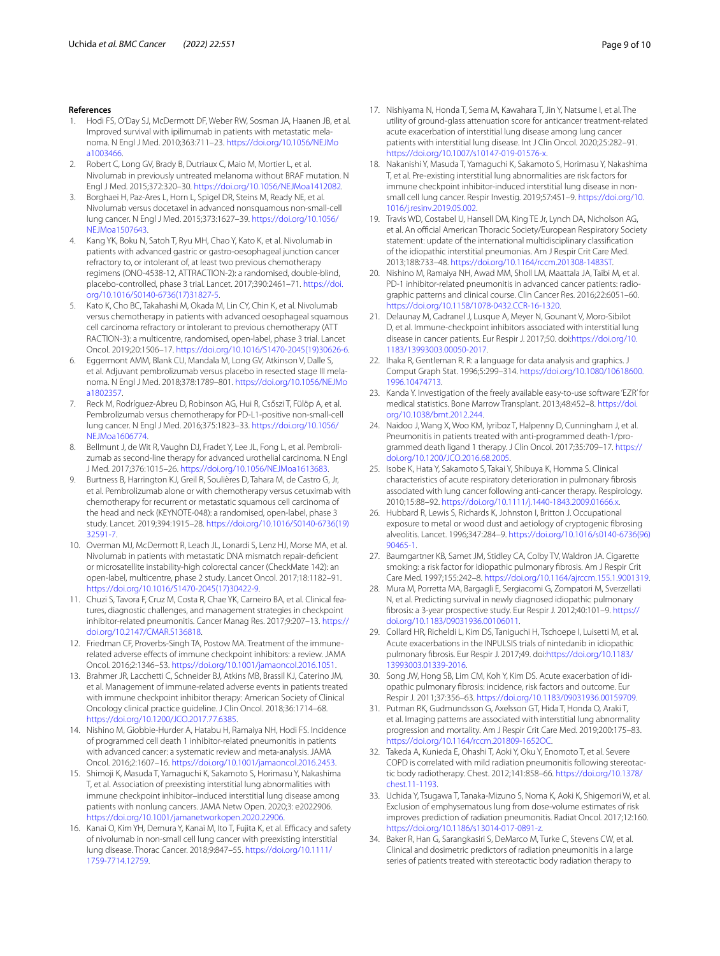- <span id="page-8-0"></span>1. Hodi FS, O'Day SJ, McDermott DF, Weber RW, Sosman JA, Haanen JB, et al. Improved survival with ipilimumab in patients with metastatic mela‑ noma. N Engl J Med. 2010;363:711–23. [https://doi.org/10.1056/NEJMo](https://doi.org/10.1056/NEJMoa1003466) [a1003466.](https://doi.org/10.1056/NEJMoa1003466)
- <span id="page-8-1"></span>2. Robert C, Long GV, Brady B, Dutriaux C, Maio M, Mortier L, et al. Nivolumab in previously untreated melanoma without BRAF mutation. N Engl J Med. 2015;372:320–30.<https://doi.org/10.1056/NEJMoa1412082>.
- Borghaei H, Paz-Ares L, Horn L, Spigel DR, Steins M, Ready NE, et al. Nivolumab versus docetaxel in advanced nonsquamous non-small-cell lung cancer. N Engl J Med. 2015;373:1627–39. [https://doi.org/10.1056/](https://doi.org/10.1056/NEJMoa1507643) [NEJMoa1507643.](https://doi.org/10.1056/NEJMoa1507643)
- <span id="page-8-5"></span>4. Kang YK, Boku N, Satoh T, Ryu MH, Chao Y, Kato K, et al. Nivolumab in patients with advanced gastric or gastro-oesophageal junction cancer refractory to, or intolerant of, at least two previous chemotherapy regimens (ONO-4538-12, ATTRACTION-2): a randomised, double-blind, placebo-controlled, phase 3 trial. Lancet. 2017;390:2461–71. [https://doi.](https://doi.org/10.1016/S0140-6736(17)31827-5) [org/10.1016/S0140-6736\(17\)31827-5.](https://doi.org/10.1016/S0140-6736(17)31827-5)
- <span id="page-8-2"></span>5. Kato K, Cho BC, Takahashi M, Okada M, Lin CY, Chin K, et al. Nivolumab versus chemotherapy in patients with advanced oesophageal squamous cell carcinoma refractory or intolerant to previous chemotherapy (ATT RACTION-3): a multicentre, randomised, open-label, phase 3 trial. Lancet Oncol. 2019;20:1506–17. [https://doi.org/10.1016/S1470-2045\(19\)30626-6](https://doi.org/10.1016/S1470-2045(19)30626-6).
- <span id="page-8-3"></span>6. Eggermont AMM, Blank CU, Mandala M, Long GV, Atkinson V, Dalle S, et al. Adjuvant pembrolizumab versus placebo in resected stage III melanoma. N Engl J Med. 2018;378:1789–801. [https://doi.org/10.1056/NEJMo](https://doi.org/10.1056/NEJMoa1802357) [a1802357.](https://doi.org/10.1056/NEJMoa1802357)
- 7. Reck M, Rodríguez-Abreu D, Robinson AG, Hui R, Csőszi T, Fülöp A, et al. Pembrolizumab versus chemotherapy for PD-L1-positive non-small-cell lung cancer. N Engl J Med. 2016;375:1823–33. [https://doi.org/10.1056/](https://doi.org/10.1056/NEJMoa1606774) [NEJMoa1606774.](https://doi.org/10.1056/NEJMoa1606774)
- 8. Bellmunt J, de Wit R, Vaughn DJ, Fradet Y, Lee JL, Fong L, et al. Pembrolizumab as second-line therapy for advanced urothelial carcinoma. N Engl J Med. 2017;376:1015–26.<https://doi.org/10.1056/NEJMoa1613683>.
- <span id="page-8-4"></span>9. Burtness B, Harrington KJ, Greil R, Soulières D, Tahara M, de Castro G, Jr, et al. Pembrolizumab alone or with chemotherapy versus cetuximab with chemotherapy for recurrent or metastatic squamous cell carcinoma of the head and neck (KEYNOTE-048): a randomised, open-label, phase 3 study. Lancet. 2019;394:1915–28. [https://doi.org/10.1016/S0140-6736\(19\)](https://doi.org/10.1016/S0140-6736(19)32591-7) [32591-7.](https://doi.org/10.1016/S0140-6736(19)32591-7)
- <span id="page-8-6"></span>10. Overman MJ, McDermott R, Leach JL, Lonardi S, Lenz HJ, Morse MA, et al. Nivolumab in patients with metastatic DNA mismatch repair-defcient or microsatellite instability-high colorectal cancer (CheckMate 142): an open-label, multicentre, phase 2 study. Lancet Oncol. 2017;18:1182–91. [https://doi.org/10.1016/S1470-2045\(17\)30422-9](https://doi.org/10.1016/S1470-2045(17)30422-9).
- <span id="page-8-7"></span>11. Chuzi S, Tavora F, Cruz M, Costa R, Chae YK, Carneiro BA, et al. Clinical features, diagnostic challenges, and management strategies in checkpoint inhibitor-related pneumonitis. Cancer Manag Res. 2017;9:207–13. [https://](https://doi.org/10.2147/CMAR.S136818) [doi.org/10.2147/CMAR.S136818](https://doi.org/10.2147/CMAR.S136818).
- 12. Friedman CF, Proverbs-Singh TA, Postow MA. Treatment of the immunerelated adverse effects of immune checkpoint inhibitors: a review. JAMA Oncol. 2016;2:1346–53.<https://doi.org/10.1001/jamaoncol.2016.1051>.
- <span id="page-8-8"></span>13. Brahmer JR, Lacchetti C, Schneider BJ, Atkins MB, Brassil KJ, Caterino JM, et al. Management of immune-related adverse events in patients treated with immune checkpoint inhibitor therapy: American Society of Clinical Oncology clinical practice guideline. J Clin Oncol. 2018;36:1714–68. [https://doi.org/10.1200/JCO.2017.77.6385.](https://doi.org/10.1200/JCO.2017.77.6385)
- <span id="page-8-9"></span>14. Nishino M, Giobbie-Hurder A, Hatabu H, Ramaiya NH, Hodi FS. Incidence of programmed cell death 1 inhibitor-related pneumonitis in patients with advanced cancer: a systematic review and meta-analysis. JAMA Oncol. 2016;2:1607–16.<https://doi.org/10.1001/jamaoncol.2016.2453>.
- <span id="page-8-10"></span>15. Shimoji K, Masuda T, Yamaguchi K, Sakamoto S, Horimasu Y, Nakashima T, et al. Association of preexisting interstitial lung abnormalities with immune checkpoint inhibitor–induced interstitial lung disease among patients with nonlung cancers. JAMA Netw Open. 2020;3: e2022906. <https://doi.org/10.1001/jamanetworkopen.2020.22906>.
- <span id="page-8-24"></span>16. Kanai O, Kim YH, Demura Y, Kanai M, Ito T, Fujita K, et al. Efficacy and safety of nivolumab in non-small cell lung cancer with preexisting interstitial lung disease. Thorac Cancer. 2018;9:847–55. [https://doi.org/10.1111/](https://doi.org/10.1111/1759-7714.12759) [1759-7714.12759.](https://doi.org/10.1111/1759-7714.12759)
- 17. Nishiyama N, Honda T, Sema M, Kawahara T, Jin Y, Natsume I, et al. The utility of ground-glass attenuation score for anticancer treatment-related acute exacerbation of interstitial lung disease among lung cancer patients with interstitial lung disease. Int J Clin Oncol. 2020;25:282–91. [https://doi.org/10.1007/s10147-019-01576-x.](https://doi.org/10.1007/s10147-019-01576-x)
- <span id="page-8-11"></span>18. Nakanishi Y, Masuda T, Yamaguchi K, Sakamoto S, Horimasu Y, Nakashima T, et al. Pre-existing interstitial lung abnormalities are risk factors for immune checkpoint inhibitor-induced interstitial lung disease in nonsmall cell lung cancer. Respir Investig. 2019;57:451–9. [https://doi.org/10.](https://doi.org/10.1016/j.resinv.2019.05.002) [1016/j.resinv.2019.05.002.](https://doi.org/10.1016/j.resinv.2019.05.002)
- <span id="page-8-12"></span>19. Travis WD, Costabel U, Hansell DM, King TE Jr, Lynch DA, Nicholson AG, et al. An official American Thoracic Society/European Respiratory Society statement: update of the international multidisciplinary classifcation of the idiopathic interstitial pneumonias. Am J Respir Crit Care Med. 2013;188:733–48. [https://doi.org/10.1164/rccm.201308-1483ST.](https://doi.org/10.1164/rccm.201308-1483ST)
- <span id="page-8-13"></span>20. Nishino M, Ramaiya NH, Awad MM, Sholl LM, Maattala JA, Taibi M, et al. PD-1 inhibitor-related pneumonitis in advanced cancer patients: radiographic patterns and clinical course. Clin Cancer Res. 2016;22:6051–60. <https://doi.org/10.1158/1078-0432.CCR-16-1320>.
- <span id="page-8-14"></span>21. Delaunay M, Cadranel J, Lusque A, Meyer N, Gounant V, Moro-Sibilot D, et al. Immune-checkpoint inhibitors associated with interstitial lung disease in cancer patients. Eur Respir J. 2017;50. doi:[https://doi.org/10.](https://doi.org/10.1183/13993003.00050-2017) [1183/13993003.00050-2017.](https://doi.org/10.1183/13993003.00050-2017)
- <span id="page-8-15"></span>22. Ihaka R, Gentleman R. R: a language for data analysis and graphics. J Comput Graph Stat. 1996;5:299–314. [https://doi.org/10.1080/10618600.](https://doi.org/10.1080/10618600.1996.10474713) [1996.10474713.](https://doi.org/10.1080/10618600.1996.10474713)
- <span id="page-8-16"></span>23. Kanda Y. Investigation of the freely available easy-to-use software 'EZR' for medical statistics. Bone Marrow Transplant. 2013;48:452–8. [https://doi.](https://doi.org/10.1038/bmt.2012.244) [org/10.1038/bmt.2012.244](https://doi.org/10.1038/bmt.2012.244).
- <span id="page-8-17"></span>24. Naidoo J, Wang X, Woo KM, Iyriboz T, Halpenny D, Cunningham J, et al. Pneumonitis in patients treated with anti-programmed death-1/programmed death ligand 1 therapy. J Clin Oncol. 2017;35:709–17. [https://](https://doi.org/10.1200/JCO.2016.68.2005) [doi.org/10.1200/JCO.2016.68.2005](https://doi.org/10.1200/JCO.2016.68.2005).
- <span id="page-8-18"></span>25. Isobe K, Hata Y, Sakamoto S, Takai Y, Shibuya K, Homma S. Clinical characteristics of acute respiratory deterioration in pulmonary fbrosis associated with lung cancer following anti-cancer therapy. Respirology. 2010;15:88–92. [https://doi.org/10.1111/j.1440-1843.2009.01666.x.](https://doi.org/10.1111/j.1440-1843.2009.01666.x)
- <span id="page-8-19"></span>26. Hubbard R, Lewis S, Richards K, Johnston I, Britton J. Occupational exposure to metal or wood dust and aetiology of cryptogenic fbrosing alveolitis. Lancet. 1996;347:284–9. [https://doi.org/10.1016/s0140-6736\(96\)](https://doi.org/10.1016/s0140-6736(96)90465-1) [90465-1.](https://doi.org/10.1016/s0140-6736(96)90465-1)
- <span id="page-8-20"></span>27. Baumgartner KB, Samet JM, Stidley CA, Colby TV, Waldron JA. Cigarette smoking: a risk factor for idiopathic pulmonary fbrosis. Am J Respir Crit Care Med. 1997;155:242–8. [https://doi.org/10.1164/ajrccm.155.1.9001319.](https://doi.org/10.1164/ajrccm.155.1.9001319)
- <span id="page-8-21"></span>28. Mura M, Porretta MA, Bargagli E, Sergiacomi G, Zompatori M, Sverzellati N, et al. Predicting survival in newly diagnosed idiopathic pulmonary fbrosis: a 3-year prospective study. Eur Respir J. 2012;40:101–9. [https://](https://doi.org/10.1183/09031936.00106011) [doi.org/10.1183/09031936.00106011](https://doi.org/10.1183/09031936.00106011).
- 29. Collard HR, Richeldi L, Kim DS, Taniguchi H, Tschoepe I, Luisetti M, et al. Acute exacerbations in the INPULSIS trials of nintedanib in idiopathic pulmonary fbrosis. Eur Respir J. 2017;49. doi:[https://doi.org/10.1183/](https://doi.org/10.1183/13993003.01339-2016) [13993003.01339-2016](https://doi.org/10.1183/13993003.01339-2016).
- 30. Song JW, Hong SB, Lim CM, Koh Y, Kim DS. Acute exacerbation of idiopathic pulmonary fbrosis: incidence, risk factors and outcome. Eur Respir J. 2011;37:356–63. <https://doi.org/10.1183/09031936.00159709>.
- <span id="page-8-22"></span>31. Putman RK, Gudmundsson G, Axelsson GT, Hida T, Honda O, Araki T, et al. Imaging patterns are associated with interstitial lung abnormality progression and mortality. Am J Respir Crit Care Med. 2019;200:175–83. [https://doi.org/10.1164/rccm.201809-1652OC.](https://doi.org/10.1164/rccm.201809-1652OC)
- <span id="page-8-23"></span>32. Takeda A, Kunieda E, Ohashi T, Aoki Y, Oku Y, Enomoto T, et al. Severe COPD is correlated with mild radiation pneumonitis following stereotactic body radiotherapy. Chest. 2012;141:858–66. [https://doi.org/10.1378/](https://doi.org/10.1378/chest.11-1193) [chest.11-1193](https://doi.org/10.1378/chest.11-1193).
- 33. Uchida Y, Tsugawa T, Tanaka-Mizuno S, Noma K, Aoki K, Shigemori W, et al. Exclusion of emphysematous lung from dose-volume estimates of risk improves prediction of radiation pneumonitis. Radiat Oncol. 2017;12:160. <https://doi.org/10.1186/s13014-017-0891-z>.
- 34. Baker R, Han G, Sarangkasiri S, DeMarco M, Turke C, Stevens CW, et al. Clinical and dosimetric predictors of radiation pneumonitis in a large series of patients treated with stereotactic body radiation therapy to